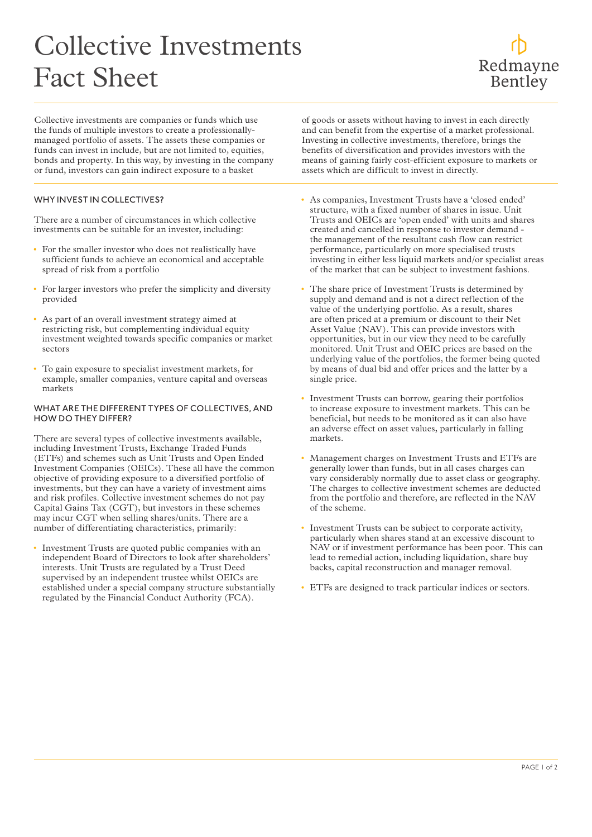## Collective Investments Fact Sheet

Collective investments are companies or funds which use the funds of multiple investors to create a professionallymanaged portfolio of assets. The assets these companies or funds can invest in include, but are not limited to, equities, bonds and property. In this way, by investing in the company or fund, investors can gain indirect exposure to a basket

## WHY INVEST IN COLLECTIVES?

There are a number of circumstances in which collective investments can be suitable for an investor, including:

- For the smaller investor who does not realistically have sufficient funds to achieve an economical and acceptable spread of risk from a portfolio
- For larger investors who prefer the simplicity and diversity provided
- As part of an overall investment strategy aimed at restricting risk, but complementing individual equity investment weighted towards specific companies or market sectors
- To gain exposure to specialist investment markets, for example, smaller companies, venture capital and overseas markets

## WHAT ARE THE DIFFERENT TYPES OF COLLECTIVES, AND HOW DO THEY DIFFER?

There are several types of collective investments available, including Investment Trusts, Exchange Traded Funds (ETFs) and schemes such as Unit Trusts and Open Ended Investment Companies (OEICs). These all have the common objective of providing exposure to a diversified portfolio of investments, but they can have a variety of investment aims and risk profiles. Collective investment schemes do not pay Capital Gains Tax (CGT), but investors in these schemes may incur CGT when selling shares/units. There are a number of differentiating characteristics, primarily:

• Investment Trusts are quoted public companies with an independent Board of Directors to look after shareholders' interests. Unit Trusts are regulated by a Trust Deed supervised by an independent trustee whilst OEICs are established under a special company structure substantially regulated by the Financial Conduct Authority (FCA).

of goods or assets without having to invest in each directly and can benefit from the expertise of a market professional. Investing in collective investments, therefore, brings the benefits of diversification and provides investors with the means of gaining fairly cost-efficient exposure to markets or assets which are difficult to invest in directly.

- As companies, Investment Trusts have a 'closed ended' structure, with a fixed number of shares in issue. Unit Trusts and OEICs are 'open ended' with units and shares created and cancelled in response to investor demand the management of the resultant cash flow can restrict performance, particularly on more specialised trusts investing in either less liquid markets and/or specialist areas of the market that can be subject to investment fashions.
- The share price of Investment Trusts is determined by supply and demand and is not a direct reflection of the value of the underlying portfolio. As a result, shares are often priced at a premium or discount to their Net Asset Value (NAV). This can provide investors with opportunities, but in our view they need to be carefully monitored. Unit Trust and OEIC prices are based on the underlying value of the portfolios, the former being quoted by means of dual bid and offer prices and the latter by a single price.
- Investment Trusts can borrow, gearing their portfolios to increase exposure to investment markets. This can be beneficial, but needs to be monitored as it can also have an adverse effect on asset values, particularly in falling markets.
- Management charges on Investment Trusts and ETFs are generally lower than funds, but in all cases charges can vary considerably normally due to asset class or geography. The charges to collective investment schemes are deducted from the portfolio and therefore, are reflected in the NAV of the scheme.
- Investment Trusts can be subject to corporate activity, particularly when shares stand at an excessive discount to NAV or if investment performance has been poor. This can lead to remedial action, including liquidation, share buy backs, capital reconstruction and manager removal.
- ETFs are designed to track particular indices or sectors.